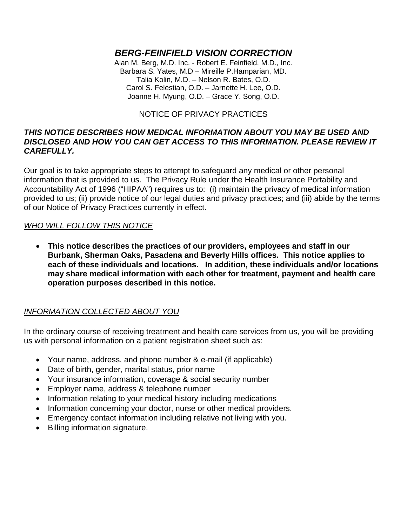# *BERG-FEINFIELD VISION CORRECTION*

Alan M. Berg, M.D. Inc. - Robert E. Feinfield, M.D., Inc. Barbara S. Yates, M.D – Mireille P.Hamparian, MD. Talia Kolin, M.D. – Nelson R. Bates, O.D. Carol S. Felestian, O.D. – Jarnette H. Lee, O.D. Joanne H. Myung, O.D. – Grace Y. Song, O.D.

### NOTICE OF PRIVACY PRACTICES

#### *THIS NOTICE DESCRIBES HOW MEDICAL INFORMATION ABOUT YOU MAY BE USED AND DISCLOSED AND HOW YOU CAN GET ACCESS TO THIS INFORMATION. PLEASE REVIEW IT CAREFULLY.*

Our goal is to take appropriate steps to attempt to safeguard any medical or other personal information that is provided to us. The Privacy Rule under the Health Insurance Portability and Accountability Act of 1996 ("HIPAA") requires us to: (i) maintain the privacy of medical information provided to us; (ii) provide notice of our legal duties and privacy practices; and (iii) abide by the terms of our Notice of Privacy Practices currently in effect.

### *WHO WILL FOLLOW THIS NOTICE*

• **This notice describes the practices of our providers, employees and staff in our Burbank, Sherman Oaks, Pasadena and Beverly Hills offices. This notice applies to each of these individuals and locations. In addition, these individuals and/or locations may share medical information with each other for treatment, payment and health care operation purposes described in this notice.**

## *INFORMATION COLLECTED ABOUT YOU*

In the ordinary course of receiving treatment and health care services from us, you will be providing us with personal information on a patient registration sheet such as:

- Your name, address, and phone number & e-mail (if applicable)
- Date of birth, gender, marital status, prior name
- Your insurance information, coverage & social security number
- Employer name, address & telephone number
- Information relating to your medical history including medications
- Information concerning your doctor, nurse or other medical providers.
- Emergency contact information including relative not living with you.
- Billing information signature.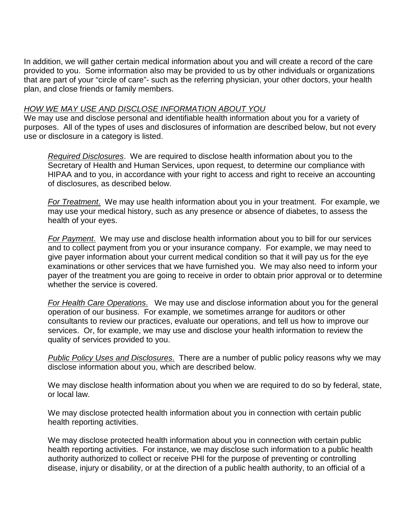In addition, we will gather certain medical information about you and will create a record of the care provided to you. Some information also may be provided to us by other individuals or organizations that are part of your "circle of care"- such as the referring physician, your other doctors, your health plan, and close friends or family members.

#### *HOW WE MAY USE AND DISCLOSE INFORMATION ABOUT YOU*

We may use and disclose personal and identifiable health information about you for a variety of purposes. All of the types of uses and disclosures of information are described below, but not every use or disclosure in a category is listed.

*Required Disclosures*. We are required to disclose health information about you to the Secretary of Health and Human Services, upon request, to determine our compliance with HIPAA and to you, in accordance with your right to access and right to receive an accounting of disclosures, as described below.

*For Treatment*. We may use health information about you in your treatment. For example, we may use your medical history, such as any presence or absence of diabetes, to assess the health of your eyes.

*For Payment*. We may use and disclose health information about you to bill for our services and to collect payment from you or your insurance company. For example, we may need to give payer information about your current medical condition so that it will pay us for the eye examinations or other services that we have furnished you. We may also need to inform your payer of the treatment you are going to receive in order to obtain prior approval or to determine whether the service is covered.

*For Health Care Operations*. We may use and disclose information about you for the general operation of our business. For example, we sometimes arrange for auditors or other consultants to review our practices, evaluate our operations, and tell us how to improve our services. Or, for example, we may use and disclose your health information to review the quality of services provided to you.

*Public Policy Uses and Disclosures*. There are a number of public policy reasons why we may disclose information about you, which are described below.

We may disclose health information about you when we are required to do so by federal, state, or local law.

We may disclose protected health information about you in connection with certain public health reporting activities.

We may disclose protected health information about you in connection with certain public health reporting activities. For instance, we may disclose such information to a public health authority authorized to collect or receive PHI for the purpose of preventing or controlling disease, injury or disability, or at the direction of a public health authority, to an official of a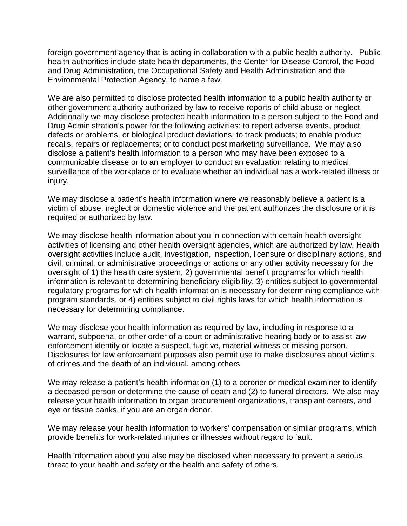foreign government agency that is acting in collaboration with a public health authority. Public health authorities include state health departments, the Center for Disease Control, the Food and Drug Administration, the Occupational Safety and Health Administration and the Environmental Protection Agency, to name a few.

We are also permitted to disclose protected health information to a public health authority or other government authority authorized by law to receive reports of child abuse or neglect. Additionally we may disclose protected health information to a person subject to the Food and Drug Administration's power for the following activities: to report adverse events, product defects or problems, or biological product deviations; to track products; to enable product recalls, repairs or replacements; or to conduct post marketing surveillance. We may also disclose a patient's health information to a person who may have been exposed to a communicable disease or to an employer to conduct an evaluation relating to medical surveillance of the workplace or to evaluate whether an individual has a work-related illness or injury.

We may disclose a patient's health information where we reasonably believe a patient is a victim of abuse, neglect or domestic violence and the patient authorizes the disclosure or it is required or authorized by law.

We may disclose health information about you in connection with certain health oversight activities of licensing and other health oversight agencies, which are authorized by law. Health oversight activities include audit, investigation, inspection, licensure or disciplinary actions, and civil, criminal, or administrative proceedings or actions or any other activity necessary for the oversight of 1) the health care system, 2) governmental benefit programs for which health information is relevant to determining beneficiary eligibility, 3) entities subject to governmental regulatory programs for which health information is necessary for determining compliance with program standards, or 4) entities subject to civil rights laws for which health information is necessary for determining compliance.

We may disclose your health information as required by law, including in response to a warrant, subpoena, or other order of a court or administrative hearing body or to assist law enforcement identify or locate a suspect, fugitive, material witness or missing person. Disclosures for law enforcement purposes also permit use to make disclosures about victims of crimes and the death of an individual, among others.

We may release a patient's health information (1) to a coroner or medical examiner to identify a deceased person or determine the cause of death and (2) to funeral directors. We also may release your health information to organ procurement organizations, transplant centers, and eye or tissue banks, if you are an organ donor.

We may release your health information to workers' compensation or similar programs, which provide benefits for work-related injuries or illnesses without regard to fault.

Health information about you also may be disclosed when necessary to prevent a serious threat to your health and safety or the health and safety of others.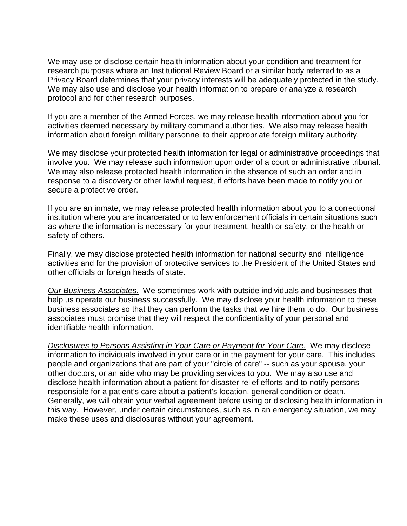We may use or disclose certain health information about your condition and treatment for research purposes where an Institutional Review Board or a similar body referred to as a Privacy Board determines that your privacy interests will be adequately protected in the study. We may also use and disclose your health information to prepare or analyze a research protocol and for other research purposes.

If you are a member of the Armed Forces, we may release health information about you for activities deemed necessary by military command authorities. We also may release health information about foreign military personnel to their appropriate foreign military authority.

We may disclose your protected health information for legal or administrative proceedings that involve you. We may release such information upon order of a court or administrative tribunal. We may also release protected health information in the absence of such an order and in response to a discovery or other lawful request, if efforts have been made to notify you or secure a protective order.

If you are an inmate, we may release protected health information about you to a correctional institution where you are incarcerated or to law enforcement officials in certain situations such as where the information is necessary for your treatment, health or safety, or the health or safety of others.

Finally, we may disclose protected health information for national security and intelligence activities and for the provision of protective services to the President of the United States and other officials or foreign heads of state.

*Our Business Associates*. We sometimes work with outside individuals and businesses that help us operate our business successfully. We may disclose your health information to these business associates so that they can perform the tasks that we hire them to do. Our business associates must promise that they will respect the confidentiality of your personal and identifiable health information.

*Disclosures to Persons Assisting in Your Care or Payment for Your Care*. We may disclose information to individuals involved in your care or in the payment for your care. This includes people and organizations that are part of your "circle of care" -- such as your spouse, your other doctors, or an aide who may be providing services to you. We may also use and disclose health information about a patient for disaster relief efforts and to notify persons responsible for a patient's care about a patient's location, general condition or death. Generally, we will obtain your verbal agreement before using or disclosing health information in this way. However, under certain circumstances, such as in an emergency situation, we may make these uses and disclosures without your agreement.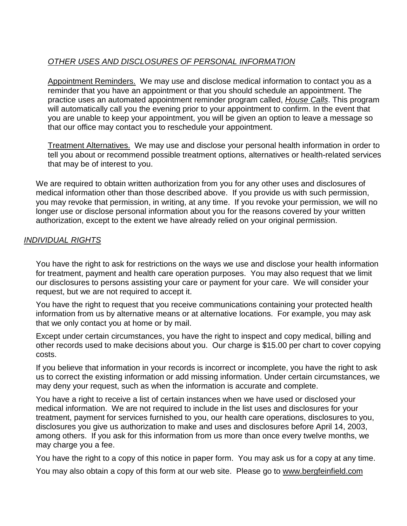## *OTHER USES AND DISCLOSURES OF PERSONAL INFORMATION*

Appointment Reminders. We may use and disclose medical information to contact you as a reminder that you have an appointment or that you should schedule an appointment. The practice uses an automated appointment reminder program called, *House Calls*. This program will automatically call you the evening prior to your appointment to confirm. In the event that you are unable to keep your appointment, you will be given an option to leave a message so that our office may contact you to reschedule your appointment.

Treatment Alternatives. We may use and disclose your personal health information in order to tell you about or recommend possible treatment options, alternatives or health-related services that may be of interest to you.

We are required to obtain written authorization from you for any other uses and disclosures of medical information other than those described above. If you provide us with such permission, you may revoke that permission, in writing, at any time. If you revoke your permission, we will no longer use or disclose personal information about you for the reasons covered by your written authorization, except to the extent we have already relied on your original permission.

## *INDIVIDUAL RIGHTS*

You have the right to ask for restrictions on the ways we use and disclose your health information for treatment, payment and health care operation purposes. You may also request that we limit our disclosures to persons assisting your care or payment for your care. We will consider your request, but we are not required to accept it.

You have the right to request that you receive communications containing your protected health information from us by alternative means or at alternative locations. For example, you may ask that we only contact you at home or by mail.

Except under certain circumstances, you have the right to inspect and copy medical, billing and other records used to make decisions about you. Our charge is \$15.00 per chart to cover copying costs.

If you believe that information in your records is incorrect or incomplete, you have the right to ask us to correct the existing information or add missing information. Under certain circumstances, we may deny your request, such as when the information is accurate and complete.

You have a right to receive a list of certain instances when we have used or disclosed your medical information. We are not required to include in the list uses and disclosures for your treatment, payment for services furnished to you, our health care operations, disclosures to you, disclosures you give us authorization to make and uses and disclosures before April 14, 2003, among others. If you ask for this information from us more than once every twelve months, we may charge you a fee.

You have the right to a copy of this notice in paper form. You may ask us for a copy at any time.

You may also obtain a copy of this form at our web site. Please go to www.bergfeinfield.com